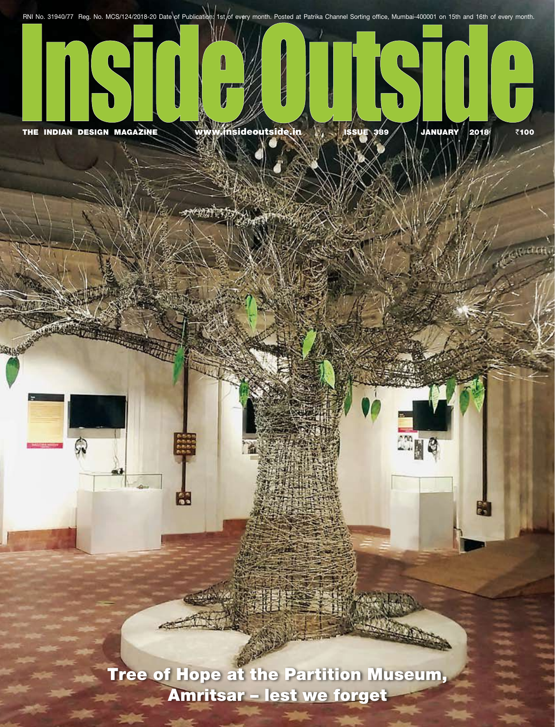